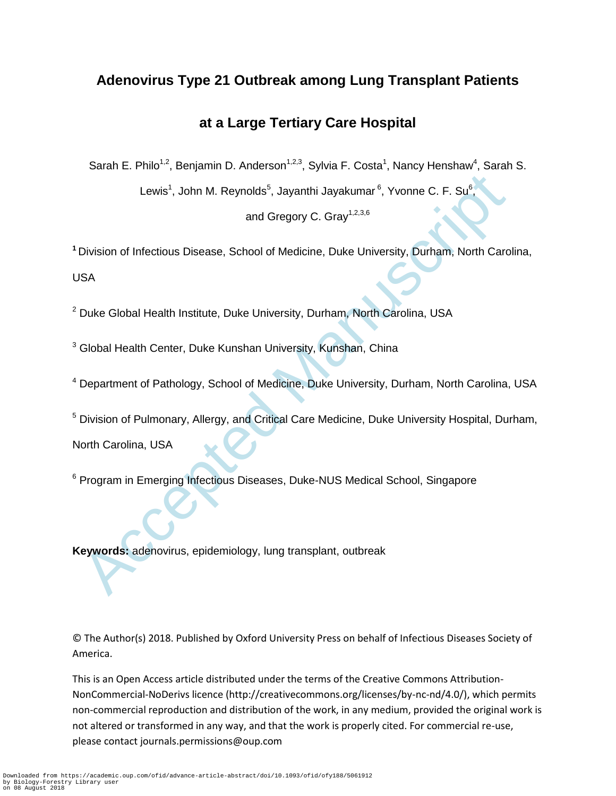# **Adenovirus Type 21 Outbreak among Lung Transplant Patients**

# **at a Large Tertiary Care Hospital**

Sarah E. Philo<sup>1,2</sup>, Benjamin D. Anderson<sup>1,2,3</sup>, Sylvia F. Costa<sup>1</sup>, Nancy Henshaw<sup>4</sup>, Sarah S.

Lewis<sup>1</sup>, John M. Reynolds<sup>5</sup>, Jayanthi Jayakumar<sup>6</sup>, Yvonne C. F. Su<sup>6</sup>

,

and Gregory C. Gray<sup>1,2,3,6</sup>

**<sup>1</sup>**Division of Infectious Disease, School of Medicine, Duke University, Durham, North Carolina, USA

<sup>2</sup> Duke Global Health Institute, Duke University, Durham, North Carolina, USA

<sup>3</sup> Global Health Center, Duke Kunshan University, Kunshan, China

<sup>4</sup> Department of Pathology, School of Medicine, Duke University, Durham, North Carolina, USA

Lewis<sup>1</sup>, John M. Reynolds<sup>8</sup>, Jayanthi Jayakumar<sup>6</sup>, Yvonne C. F. Su<sup>6</sup>,<br>and Gregory C. Gray<sup>1,236</sup><br>and Gregory C. Gray<sup>1,236</sup><br>Division of Infectious Disease, School of Medicine, Duke University, Durham, North Caro<br>ISA<br>Du <sup>5</sup> Division of Pulmonary, Allergy, and Critical Care Medicine, Duke University Hospital, Durham, North Carolina, USA

<sup>6</sup> Program in Emerging Infectious Diseases, Duke-NUS Medical School, Singapore

**Keywords:** adenovirus, epidemiology, lung transplant, outbreak

© The Author(s) 2018. Published by Oxford University Press on behalf of Infectious Diseases Society of America.

This is an Open Access article distributed under the terms of the Creative Commons Attribution-NonCommercial-NoDerivs licence (http://creativecommons.org/licenses/by-nc-nd/4.0/), which permits non-commercial reproduction and distribution of the work, in any medium, provided the original work is not altered or transformed in any way, and that the work is properly cited. For commercial re-use, please contact journals.permissions@oup.com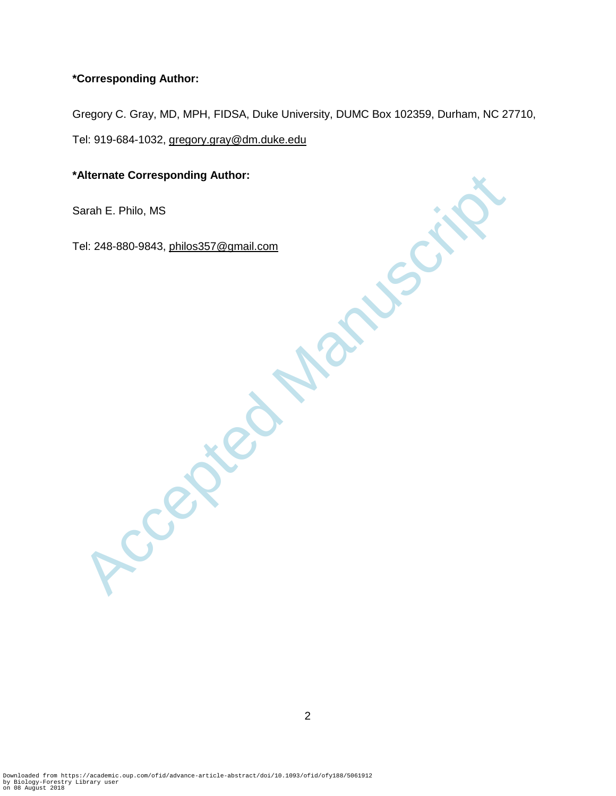# **\*Corresponding Author:**

Gregory C. Gray, MD, MPH, FIDSA, Duke University, DUMC Box 102359, Durham, NC 27710, Tel: 919-684-1032, [gregory.gray@dm.duke.edu](mailto:gregory.gray@dm.duke.edu)

Sarah E. Philo, MS

Mernate Corresponding Author:<br>Barah E. Philo, MS<br>Tel: 248-880-9843, <u>philos357@gmail.com</u><br>COOL Tel: 248-880-9843, philos357@gmail.com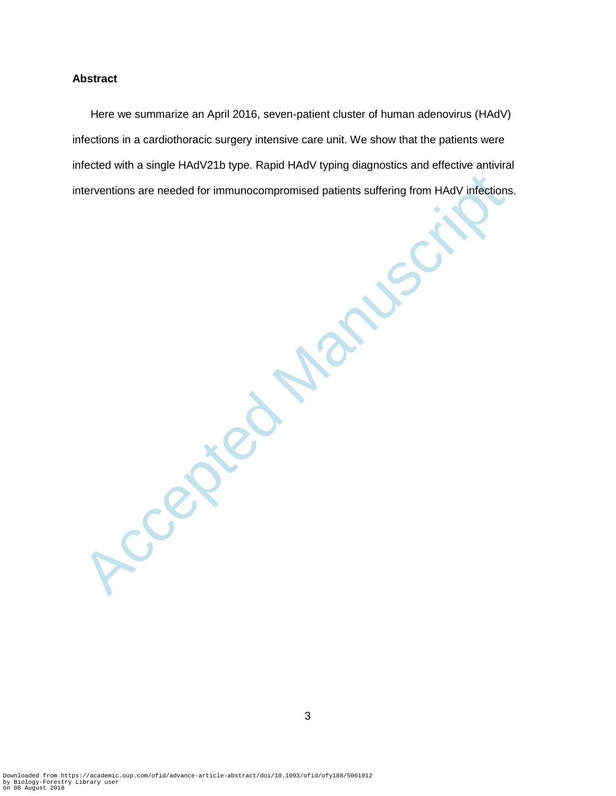# **Abstract**

Manuscriptions are needed for immunocompromised patients suffering from HAdV infections<br>
and the suffering from HAdV infections<br>
and the suffering from HAdV infections<br>
and the suffering from HAdV infections<br>
and the suffe Here we summarize an April 2016, seven-patient cluster of human adenovirus (HAdV) infections in a cardiothoracic surgery intensive care unit. We show that the patients were infected with a single HAdV21b type. Rapid HAdV typing diagnostics and effective antiviral interventions are needed for immunocompromised patients suffering from HAdV infections.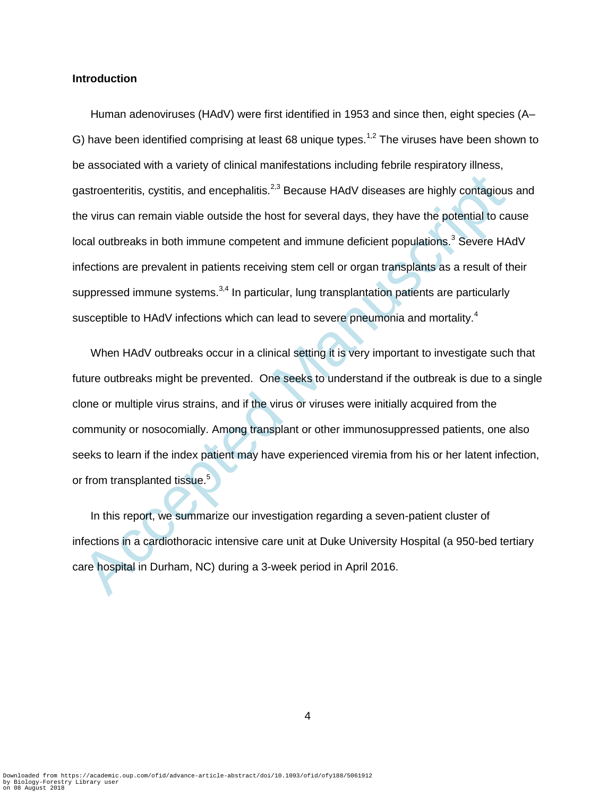#### **Introduction**

astroenteritis, cystitis, and encephalitis.<sup>2,3</sup> Because HAdV diseases are highly contagious<br>ne virus can remain viable outside the host for several days, they have the potential to ca<br>cal outbreaks in both immune competen Human adenoviruses (HAdV) were first identified in 1953 and since then, eight species (A– G) have been identified comprising at least 68 unique types.<sup>1,2</sup> The viruses have been shown to be associated with a variety of clinical manifestations including febrile respiratory illness, gastroenteritis, cystitis, and encephalitis.<sup>2,3</sup> Because HAdV diseases are highly contagious and the virus can remain viable outside the host for several days, they have the potential to cause local outbreaks in both immune competent and immune deficient populations.<sup>3</sup> Severe HAdV infections are prevalent in patients receiving stem cell or organ transplants as a result of their suppressed immune systems.<sup>3,4</sup> In particular, lung transplantation patients are particularly susceptible to HAdV infections which can lead to severe pneumonia and mortality.<sup>4</sup>

When HAdV outbreaks occur in a clinical setting it is very important to investigate such that future outbreaks might be prevented. One seeks to understand if the outbreak is due to a single clone or multiple virus strains, and if the virus or viruses were initially acquired from the community or nosocomially. Among transplant or other immunosuppressed patients, one also seeks to learn if the index patient may have experienced viremia from his or her latent infection, or from transplanted tissue.<sup>5</sup>

In this report, we summarize our investigation regarding a seven-patient cluster of infections in a cardiothoracic intensive care unit at Duke University Hospital (a 950-bed tertiary care hospital in Durham, NC) during a 3-week period in April 2016.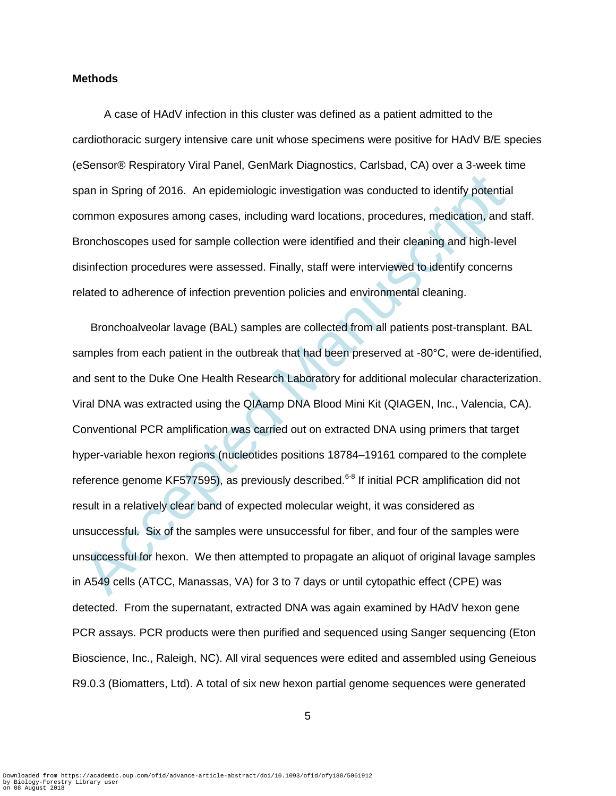#### **Methods**

A case of HAdV infection in this cluster was defined as a patient admitted to the cardiothoracic surgery intensive care unit whose specimens were positive for HAdV B/E species (eSensor® Respiratory Viral Panel, GenMark Diagnostics, Carlsbad, CA) over a 3-week time span in Spring of 2016. An epidemiologic investigation was conducted to identify potential common exposures among cases, including ward locations, procedures, medication, and staff. Bronchoscopes used for sample collection were identified and their cleaning and high-level disinfection procedures were assessed. Finally, staff were interviewed to identify concerns related to adherence of infection prevention policies and environmental cleaning.

pan in Spring of 2016. An epidemiologic investigation was conducted to identify potential<br>common exposures among cases, including ward locations, procedures, medication, and i<br>conchoscopes used for sample collection were i Bronchoalveolar lavage (BAL) samples are collected from all patients post-transplant. BAL samples from each patient in the outbreak that had been preserved at -80°C, were de-identified, and sent to the Duke One Health Research Laboratory for additional molecular characterization. Viral DNA was extracted using the QIAamp DNA Blood Mini Kit (QIAGEN, Inc., Valencia, CA). Conventional PCR amplification was carried out on extracted DNA using primers that target hyper-variable hexon regions (nucleotides positions 18784–19161 compared to the complete reference genome KF577595), as previously described.<sup>6-8</sup> If initial PCR amplification did not result in a relatively clear band of expected molecular weight, it was considered as unsuccessful. Six of the samples were unsuccessful for fiber, and four of the samples were unsuccessful for hexon. We then attempted to propagate an aliquot of original lavage samples in A549 cells (ATCC, Manassas, VA) for 3 to 7 days or until cytopathic effect (CPE) was detected. From the supernatant, extracted DNA was again examined by HAdV hexon gene PCR assays. PCR products were then purified and sequenced using Sanger sequencing (Eton Bioscience, Inc., Raleigh, NC). All viral sequences were edited and assembled using Geneious R9.0.3 (Biomatters, Ltd). A total of six new hexon partial genome sequences were generated

5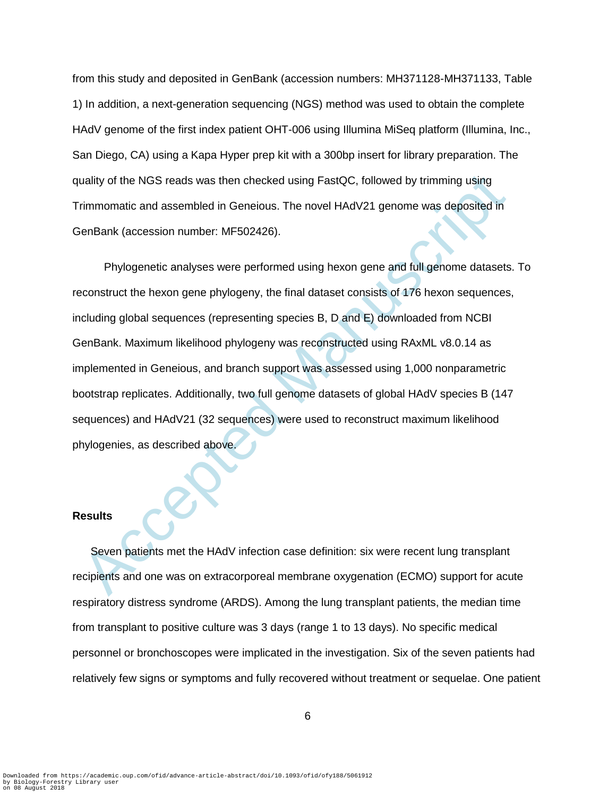from this study and deposited in GenBank (accession numbers: MH371128-MH371133, Table 1) In addition, a next-generation sequencing (NGS) method was used to obtain the complete HAdV genome of the first index patient OHT-006 using Illumina MiSeq platform (Illumina, Inc., San Diego, CA) using a Kapa Hyper prep kit with a 300bp insert for library preparation. The quality of the NGS reads was then checked using FastQC, followed by trimming using Trimmomatic and assembled in Geneious. The novel HAdV21 genome was deposited in GenBank (accession number: MF502426).

uality of the NGS reads was then checked using FastQC, followed by trimming using<br>
rimmomatic and assembled in Geneious. The novel HAdV21 genome was deposited in<br>
FenBank (accession number: MF502426).<br>
Phylogenetic analyse Phylogenetic analyses were performed using hexon gene and full genome datasets. To reconstruct the hexon gene phylogeny, the final dataset consists of 176 hexon sequences, including global sequences (representing species B, D and E) downloaded from NCBI GenBank. Maximum likelihood phylogeny was reconstructed using RAxML v8.0.14 as implemented in Geneious, and branch support was assessed using 1,000 nonparametric bootstrap replicates. Additionally, two full genome datasets of global HAdV species B (147 sequences) and HAdV21 (32 sequences) were used to reconstruct maximum likelihood phylogenies, as described above.

### **Results**

Seven patients met the HAdV infection case definition: six were recent lung transplant recipients and one was on extracorporeal membrane oxygenation (ECMO) support for acute respiratory distress syndrome (ARDS). Among the lung transplant patients, the median time from transplant to positive culture was 3 days (range 1 to 13 days). No specific medical personnel or bronchoscopes were implicated in the investigation. Six of the seven patients had relatively few signs or symptoms and fully recovered without treatment or sequelae. One patient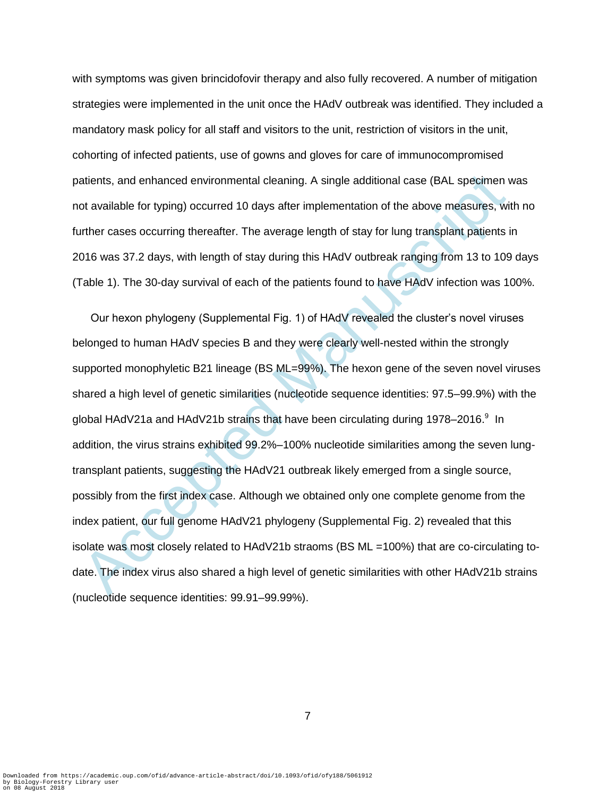with symptoms was given brincidofovir therapy and also fully recovered. A number of mitigation strategies were implemented in the unit once the HAdV outbreak was identified. They included a mandatory mask policy for all staff and visitors to the unit, restriction of visitors in the unit, cohorting of infected patients, use of gowns and gloves for care of immunocompromised patients, and enhanced environmental cleaning. A single additional case (BAL specimen was not available for typing) occurred 10 days after implementation of the above measures, with no further cases occurring thereafter. The average length of stay for lung transplant patients in 2016 was 37.2 days, with length of stay during this HAdV outbreak ranging from 13 to 109 days (Table 1). The 30-day survival of each of the patients found to have HAdV infection was 100%.

atients, and enhanced environmental cleaning. A single additional case (BAL specimen volvalable for typing) occurred 10 days after implementation of the above measures, with<br>ther cases occurring thereafter. The average len Our hexon phylogeny (Supplemental Fig. 1) of HAdV revealed the cluster's novel viruses belonged to human HAdV species B and they were clearly well-nested within the strongly supported monophyletic B21 lineage (BS ML=99%). The hexon gene of the seven novel viruses shared a high level of genetic similarities (nucleotide sequence identities: 97.5–99.9%) with the global HAdV21a and HAdV21b strains that have been circulating during 1978–2016.<sup>9</sup> In addition, the virus strains exhibited 99.2%–100% nucleotide similarities among the seven lungtransplant patients, suggesting the HAdV21 outbreak likely emerged from a single source, possibly from the first index case. Although we obtained only one complete genome from the index patient, our full genome HAdV21 phylogeny (Supplemental Fig. 2) revealed that this isolate was most closely related to HAdV21b straoms (BS ML =100%) that are co-circulating todate. The index virus also shared a high level of genetic similarities with other HAdV21b strains (nucleotide sequence identities: 99.91–99.99%).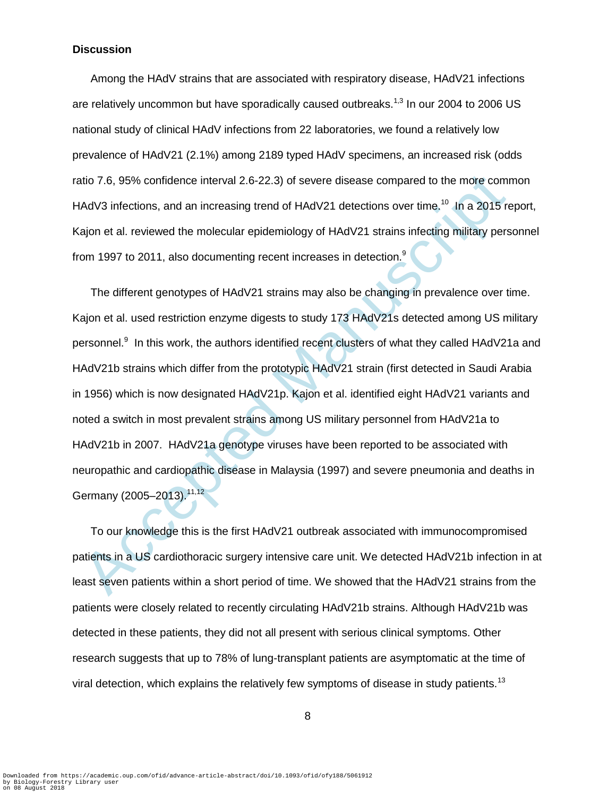#### **Discussion**

Among the HAdV strains that are associated with respiratory disease, HAdV21 infections are relatively uncommon but have sporadically caused outbreaks.<sup>1,3</sup> In our 2004 to 2006 US national study of clinical HAdV infections from 22 laboratories, we found a relatively low prevalence of HAdV21 (2.1%) among 2189 typed HAdV specimens, an increased risk (odds ratio 7.6, 95% confidence interval 2.6-22.3) of severe disease compared to the more common HAdV3 infections, and an increasing trend of HAdV21 detections over time.<sup>10</sup> In a 2015 report, Kajon et al. reviewed the molecular epidemiology of HAdV21 strains infecting military personnel from 1997 to 2011, also documenting recent increases in detection.<sup>9</sup>

atio 7.6, 95% confidence interval 2.6-22.3) of severe disease compared to the more com<br>
IAdV3 infections, and an increasing trend of HAdV21 detections over time, <sup>10</sup> In a 2015 re<br>
ajon et al. reviewed the molecular epidem The different genotypes of HAdV21 strains may also be changing in prevalence over time. Kajon et al. used restriction enzyme digests to study 173 HAdV21s detected among US military personnel.<sup>9</sup> In this work, the authors identified recent clusters of what they called HAdV21a and HAdV21b strains which differ from the prototypic HAdV21 strain (first detected in Saudi Arabia in 1956) which is now designated HAdV21p. Kajon et al. identified eight HAdV21 variants and noted a switch in most prevalent strains among US military personnel from HAdV21a to HAdV21b in 2007. HAdV21a genotype viruses have been reported to be associated with neuropathic and cardiopathic disease in Malaysia (1997) and severe pneumonia and deaths in Germany (2005–2013).<sup>11,12</sup>

To our knowledge this is the first HAdV21 outbreak associated with immunocompromised patients in a US cardiothoracic surgery intensive care unit. We detected HAdV21b infection in at least seven patients within a short period of time. We showed that the HAdV21 strains from the patients were closely related to recently circulating HAdV21b strains. Although HAdV21b was detected in these patients, they did not all present with serious clinical symptoms. Other research suggests that up to 78% of lung-transplant patients are asymptomatic at the time of viral detection, which explains the relatively few symptoms of disease in study patients.<sup>13</sup>

8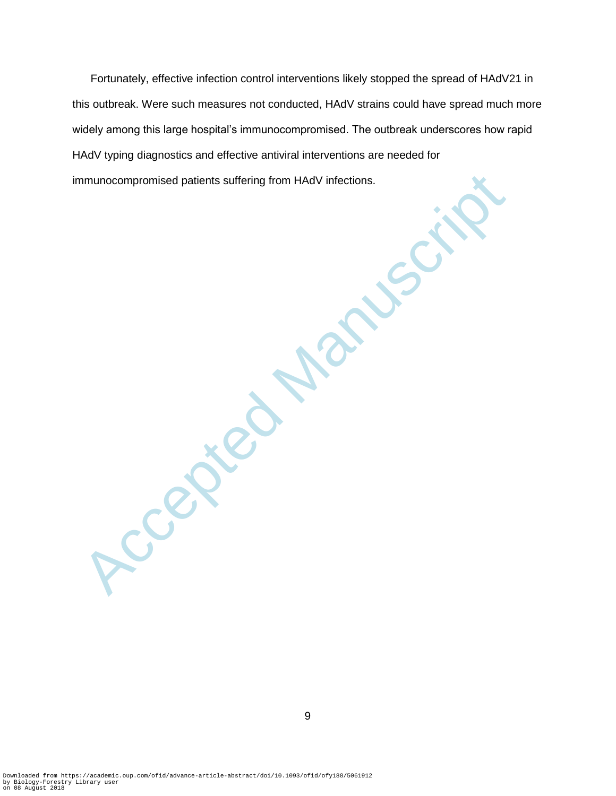Accepted Patients suffering from HAdV infections. Fortunately, effective infection control interventions likely stopped the spread of HAdV21 in this outbreak. Were such measures not conducted, HAdV strains could have spread much more widely among this large hospital's immunocompromised. The outbreak underscores how rapid HAdV typing diagnostics and effective antiviral interventions are needed for immunocompromised patients suffering from HAdV infections.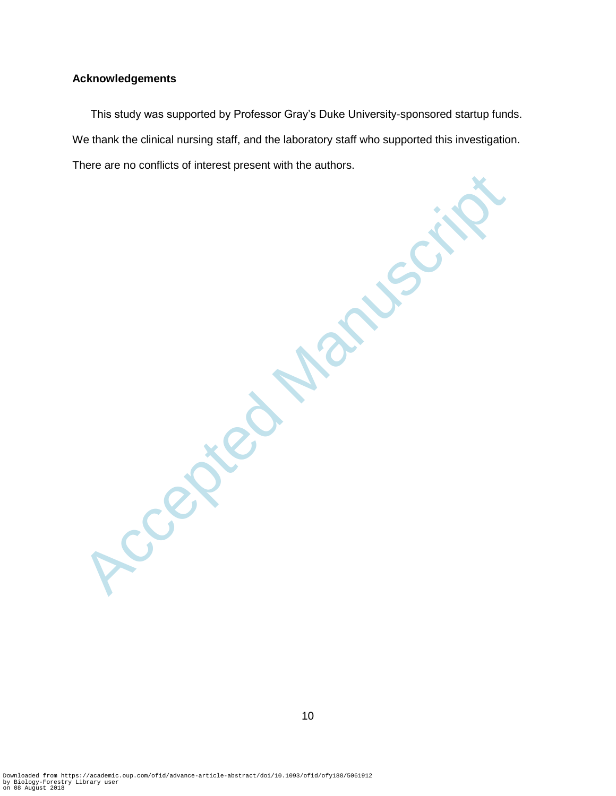#### **Acknowledgements**

This study was supported by Professor Gray's Duke University-sponsored startup funds. We thank the clinical nursing staff, and the laboratory staff who supported this investigation. There are no conflicts of interest present with the authors.

Accepted Manuscript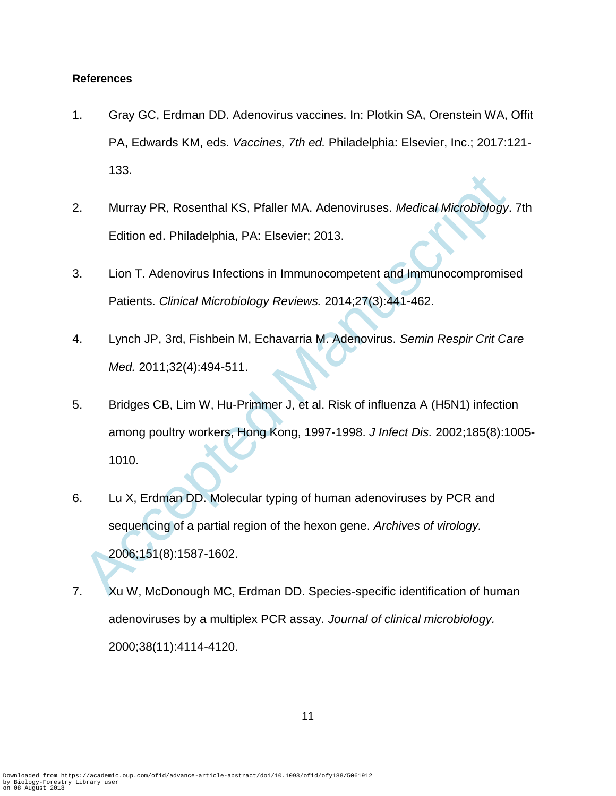# **References**

- 1. Gray GC, Erdman DD. Adenovirus vaccines. In: Plotkin SA, Orenstein WA, Offit PA, Edwards KM, eds. *Vaccines, 7th ed.* Philadelphia: Elsevier, Inc.; 2017:121- 133.
- 2. Murray PR, Rosenthal KS, Pfaller MA. Adenoviruses. *Medical Microbiology*. 7th Edition ed. Philadelphia, PA: Elsevier; 2013.
- 3. Lion T. Adenovirus Infections in Immunocompetent and Immunocompromised Patients. *Clinical Microbiology Reviews.* 2014;27(3):441-462.
- 4. Lynch JP, 3rd, Fishbein M, Echavarria M. Adenovirus. *Semin Respir Crit Care Med.* 2011;32(4):494-511.
- Murray PR, Rosenthal KS, Pfaller MA. Adenoviruses. *Medical Microbiology.*<br>
Edition ed. Philadelphia, PA: Elsevier; 2013.<br>
Lion T. Adenovirus Infections in Immunocompetent and Immunocompromise<br>
Patients. *Clinical Microbio* 5. Bridges CB, Lim W, Hu-Primmer J, et al. Risk of influenza A (H5N1) infection among poultry workers, Hong Kong, 1997-1998. *J Infect Dis.* 2002;185(8):1005- 1010.
- 6. Lu X, Erdman DD. Molecular typing of human adenoviruses by PCR and sequencing of a partial region of the hexon gene. *Archives of virology.*  2006;151(8):1587-1602.
- 7. Xu W, McDonough MC, Erdman DD. Species-specific identification of human adenoviruses by a multiplex PCR assay. *Journal of clinical microbiology.*  2000;38(11):4114-4120.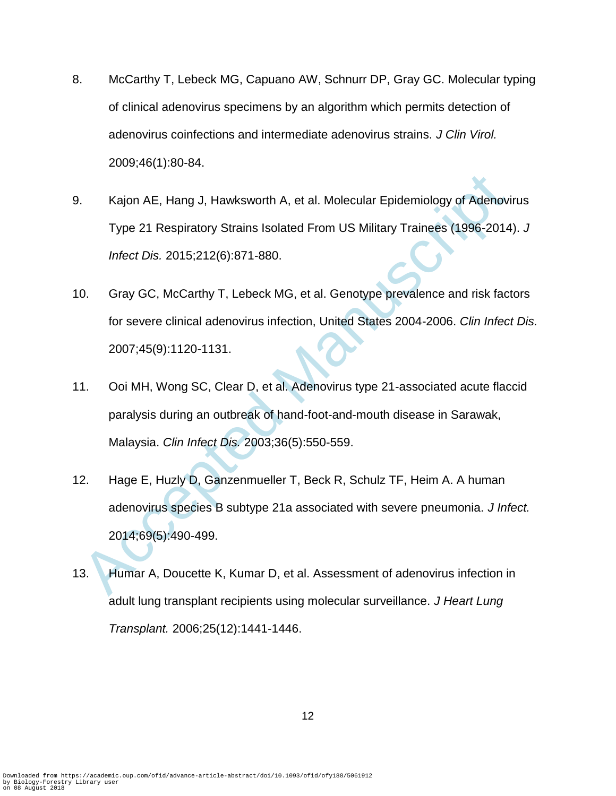- 8. McCarthy T, Lebeck MG, Capuano AW, Schnurr DP, Gray GC. Molecular typing of clinical adenovirus specimens by an algorithm which permits detection of adenovirus coinfections and intermediate adenovirus strains. *J Clin Virol.*  2009;46(1):80-84.
- Kajon AE, Hang J, Hawksworth A, et al. Molecular Epidemiology of Adenovi<br>Type 21 Respiratory Strains Isolated From US Military Trainees (1996-2014<br>
Infect Dis. 2015;212(6):871-880.<br>
O. Gray GC, McCarthy T, Lebeck MG, et al 9. Kajon AE, Hang J, Hawksworth A, et al. Molecular Epidemiology of Adenovirus Type 21 Respiratory Strains Isolated From US Military Trainees (1996-2014). *J Infect Dis.* 2015;212(6):871-880.
- 10. Gray GC, McCarthy T, Lebeck MG, et al. Genotype prevalence and risk factors for severe clinical adenovirus infection, United States 2004-2006. *Clin Infect Dis.*  2007;45(9):1120-1131.
- 11. Ooi MH, Wong SC, Clear D, et al. Adenovirus type 21-associated acute flaccid paralysis during an outbreak of hand-foot-and-mouth disease in Sarawak, Malaysia. *Clin Infect Dis.* 2003;36(5):550-559.
- 12. Hage E, Huzly D, Ganzenmueller T, Beck R, Schulz TF, Heim A. A human adenovirus species B subtype 21a associated with severe pneumonia. *J Infect.*  2014;69(5):490-499.
- 13. Humar A, Doucette K, Kumar D, et al. Assessment of adenovirus infection in adult lung transplant recipients using molecular surveillance. *J Heart Lung Transplant.* 2006;25(12):1441-1446.